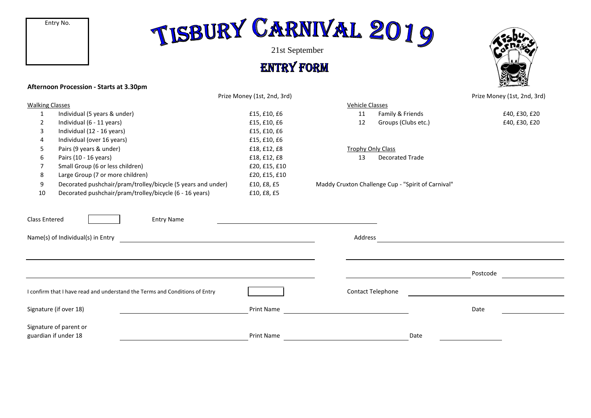## TISBURY CARNIVAL 2019

21st September

**ENTRY FORM** 

### **Afternoon Procession - Starts at 3.30pm**



|                                                                             |                                                                                         | Prize Money (1st, 2nd, 3rd) |                          |                                                    | Prize Money (1st, 2nd, 3rd) |
|-----------------------------------------------------------------------------|-----------------------------------------------------------------------------------------|-----------------------------|--------------------------|----------------------------------------------------|-----------------------------|
| <b>Walking Classes</b>                                                      |                                                                                         |                             | <b>Vehicle Classes</b>   |                                                    |                             |
| $\mathbf{1}$                                                                | Individual (5 years & under)                                                            | £15, £10, £6                | 11                       | Family & Friends                                   | £40, £30, £20               |
| 2                                                                           | Individual (6 - 11 years)                                                               | £15, £10, £6                | 12                       | Groups (Clubs etc.)                                | £40, £30, £20               |
| 3                                                                           | Individual (12 - 16 years)                                                              | £15, £10, £6                |                          |                                                    |                             |
|                                                                             | Individual (over 16 years)                                                              | £15, £10, £6                |                          |                                                    |                             |
| 5                                                                           | Pairs (9 years & under)                                                                 | £18, £12, £8                | <b>Trophy Only Class</b> |                                                    |                             |
| 6                                                                           | Pairs (10 - 16 years)                                                                   | £18, £12, £8                | 13                       | Decorated Trade                                    |                             |
| 7                                                                           | Small Group (6 or less children)                                                        | £20, £15, £10               |                          |                                                    |                             |
| 8                                                                           | Large Group (7 or more children)                                                        | £20, £15, £10               |                          |                                                    |                             |
| 9                                                                           | Decorated pushchair/pram/trolley/bicycle (5 years and under)                            | £10, £8, £5                 |                          | Maddy Cruxton Challenge Cup - "Spirit of Carnival" |                             |
| 10                                                                          | Decorated pushchair/pram/trolley/bicycle (6 - 16 years)                                 | £10, £8, £5                 |                          |                                                    |                             |
|                                                                             | Name(s) of Individual(s) in Entry<br><u> 1989 - John Stein, Amerikaansk politiker (</u> |                             | Address                  |                                                    |                             |
|                                                                             |                                                                                         |                             |                          |                                                    | Postcode                    |
| I confirm that I have read and understand the Terms and Conditions of Entry |                                                                                         |                             |                          | Contact Telephone                                  |                             |
| Signature (if over 18)                                                      |                                                                                         | <b>Print Name</b>           |                          |                                                    | Date                        |
|                                                                             | Signature of parent or<br>guardian if under 18                                          | <b>Print Name</b>           |                          | Date                                               |                             |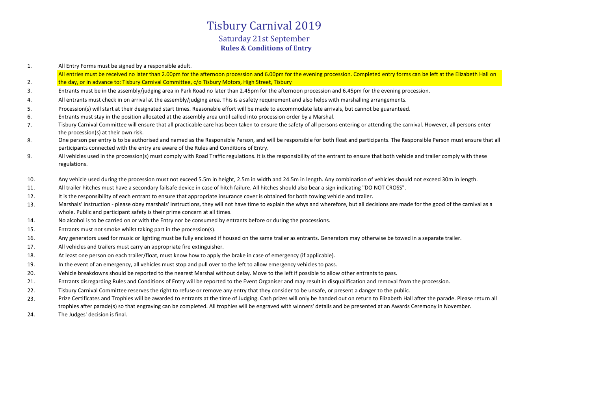## **Rules & Conditions of Entry** Tisbury Carnival 2019 Saturday 21st September

1. All Entry Forms must be signed by a responsible adult.

2. All entries must be received no later than 2.00pm for the afternoon procession and 6.00pm for the evening procession. Completed entry forms can be left at the Elizabeth Hall on the day, or in advance to: Tisbury Carnival Committee, c/o Tisbury Motors, High Street, Tisbury

- 3. Entrants must be in the assembly/judging area in Park Road no later than 2.45pm for the afternoon procession and 6.45pm for the evening procession.
- 4. All entrants must check in on arrival at the assembly/judging area. This is a safety requirement and also helps with marshalling arrangements.
- 5. Procession(s) will start at their designated start times. Reasonable effort will be made to accommodate late arrivals, but cannot be guaranteed.
- 6. Entrants must stay in the position allocated at the assembly area until called into procession order by a Marshal.
- 7. Tisbury Carnival Committee will ensure that all practicable care has been taken to ensure the safety of all persons entering or attending the carnival. However, all persons enter the procession(s) at their own risk.
- 8. One person per entry is to be authorised and named as the Responsible Person, and will be responsible for both float and participants. The Responsible Person must ensure that all participants connected with the entry are aware of the Rules and Conditions of Entry.
- 9. All vehicles used in the procession(s) must comply with Road Traffic regulations. It is the responsibility of the entrant to ensure that both vehicle and trailer comply with these regulations.
- 10. Any vehicle used during the procession must not exceed 5.5m in height, 2.5m in width and 24.5m in length. Any combination of vehicles should not exceed 30m in length.
- 11. All trailer hitches must have a secondary failsafe device in case of hitch failure. All hitches should also bear a sign indicating "DO NOT CROSS".
- 12. It is the responsibility of each entrant to ensure that appropriate insurance cover is obtained for both towing vehicle and trailer.
- 13. Marshals' Instruction - please obey marshals' instructions, they will not have time to explain the whys and wherefore, but all decisions are made for the good of the carnival as a whole. Public and participant safety is their prime concern at all times.
- 14. No alcohol is to be carried on or with the Entry nor be consumed by entrants before or during the processions.
- 15. Entrants must not smoke whilst taking part in the procession(s).
- 16. Any generators used for music or lighting must be fully enclosed if housed on the same trailer as entrants. Generators may otherwise be towed in a separate trailer.
- 17. All vehicles and trailers must carry an appropriate fire extinguisher.
- 18. At least one person on each trailer/float, must know how to apply the brake in case of emergency (if applicable).
- 19. In the event of an emergency, all vehicles must stop and pull over to the left to allow emergency vehicles to pass.
- 20. Vehicle breakdowns should be reported to the nearest Marshal without delay. Move to the left if possible to allow other entrants to pass.
- 21. Entrants disregarding Rules and Conditions of Entry will be reported to the Event Organiser and may result in disqualification and removal from the procession.
- 22. Tisbury Carnival Committee reserves the right to refuse or remove any entry that they consider to be unsafe, or present a danger to the public.
- 23. Prize Certificates and Trophies will be awarded to entrants at the time of Judging. Cash prizes will only be handed out on return to Elizabeth Hall after the parade. Please return all trophies after parade(s) so that engraving can be completed. All trophies will be engraved with winners' details and be presented at an Awards Ceremony in November.
- 24. The Judges' decision is final.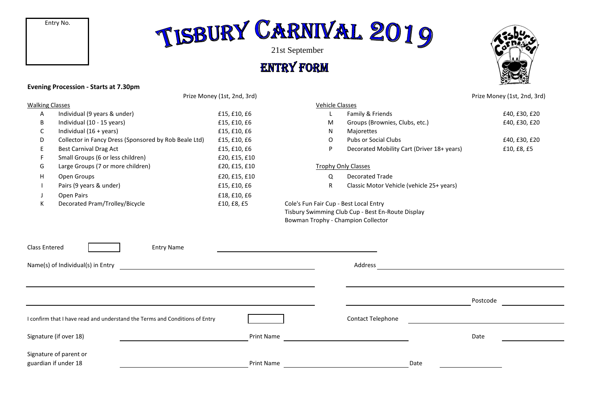Entry No.

# TISBURY CARNIVAL 2019

## **ENTRY FORM**



#### **Evening Procession - Starts at 7.30pm**

Prize Money (1st, 2nd, 3rd) Prize Money (1st, 2nd, 3rd)

| <b>Walking Classes</b> |                                                       |               | <b>Vehicle Classes</b>                            |                                            |               |  |
|------------------------|-------------------------------------------------------|---------------|---------------------------------------------------|--------------------------------------------|---------------|--|
| Α                      | Individual (9 years & under)                          | £15, £10, £6  |                                                   | Family & Friends                           | £40, £30, £20 |  |
| B                      | Individual (10 - 15 years)                            | £15, £10, £6  | M                                                 | Groups (Brownies, Clubs, etc.)             | £40, £30, £20 |  |
| C                      | Individual $(16 + \text{years})$                      | £15, £10, £6  | N                                                 | Majorettes                                 |               |  |
| D                      | Collector in Fancy Dress (Sponsored by Rob Beale Ltd) | £15, £10, £6  | 0                                                 | Pubs or Social Clubs                       | £40, £30, £20 |  |
| E.                     | <b>Best Carnival Drag Act</b>                         | £15, £10, £6  | P                                                 | Decorated Mobility Cart (Driver 18+ years) | £10, £8, £5   |  |
|                        | Small Groups (6 or less children)                     | £20, £15, £10 |                                                   |                                            |               |  |
| G                      | Large Groups (7 or more children)                     | £20, £15, £10 | <b>Trophy Only Classes</b>                        |                                            |               |  |
| H                      | Open Groups                                           | £20, £15, £10 | Q                                                 | Decorated Trade                            |               |  |
|                        | Pairs (9 years & under)                               | £15, £10, £6  | R                                                 | Classic Motor Vehicle (vehicle 25+ years)  |               |  |
|                        | Open Pairs                                            | £18, £10, £6  |                                                   |                                            |               |  |
| К                      | Decorated Pram/Trolley/Bicycle                        | £10, £8, £5   | Cole's Fun Fair Cup - Best Local Entry            |                                            |               |  |
|                        |                                                       |               | Tisbury Swimming Club Cup - Best En-Route Display |                                            |               |  |

## M Groups (Brownies, Clubs, etc.) E40, £30, £20 P Decorated Mobility Cart (Driver 18+ years) E10, £8, £5 Trophy Only Classes Q Decorated Trade

Cole's Fun Fair Cup - Best Local Entry Tisbury Swimming Club Cup - Best En-Route Display Bowman Trophy - Champion Collector

| <b>Class Entered</b><br><b>Entry Name</b>                                   |                   |                   |          |  |
|-----------------------------------------------------------------------------|-------------------|-------------------|----------|--|
| Name(s) of Individual(s) in Entry                                           |                   | Address           |          |  |
|                                                                             |                   |                   | Postcode |  |
| I confirm that I have read and understand the Terms and Conditions of Entry |                   | Contact Telephone |          |  |
| Signature (if over 18)                                                      | <b>Print Name</b> |                   | Date     |  |
| Signature of parent or<br>guardian if under 18                              | <b>Print Name</b> | Date              |          |  |